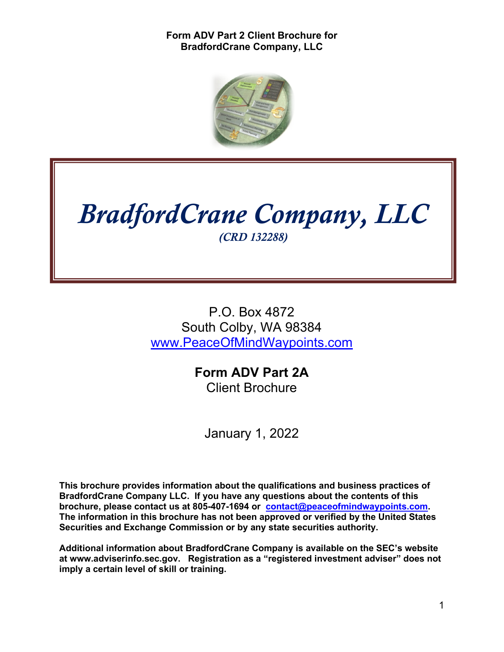

# *BradfordCrane Company, LLC (CRD 132288)*

P.O. Box 4872 South Colby, WA 98384 www.PeaceOfMindWaypoints.com

> **Form ADV Part 2A** Client Brochure

January 1, 2022

**This brochure provides information about the qualifications and business practices of BradfordCrane Company LLC. If you have any questions about the contents of this brochure, please contact us at 805-407-1694 or contact@peaceofmindwaypoints.com. The information in this brochure has not been approved or verified by the United States Securities and Exchange Commission or by any state securities authority.** 

**Additional information about BradfordCrane Company is available on the SEC's website at www.adviserinfo.sec.gov. Registration as a "registered investment adviser" does not imply a certain level of skill or training.**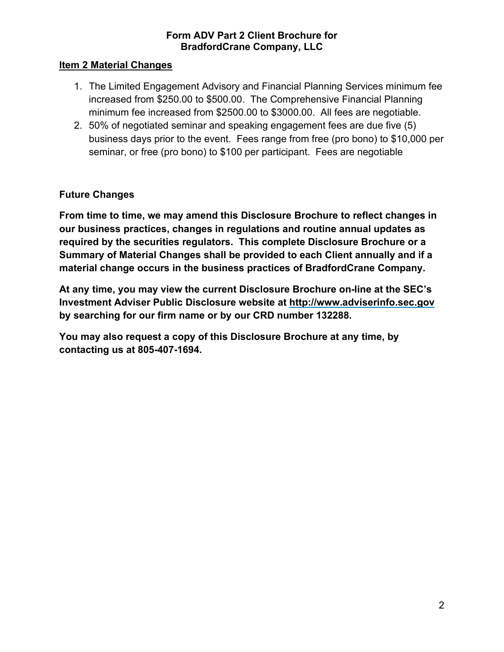#### **Item 2 Material Changes**

- 1. The Limited Engagement Advisory and Financial Planning Services minimum fee increased from \$250.00 to \$500.00. The Comprehensive Financial Planning minimum fee increased from \$2500.00 to \$3000.00. All fees are negotiable.
- 2. 50% of negotiated seminar and speaking engagement fees are due five (5) business days prior to the event. Fees range from free (pro bono) to \$10,000 per seminar, or free (pro bono) to \$100 per participant. Fees are negotiable

## **Future Changes**

**From time to time, we may amend this Disclosure Brochure to reflect changes in our business practices, changes in regulations and routine annual updates as required by the securities regulators. This complete Disclosure Brochure or a Summary of Material Changes shall be provided to each Client annually and if a material change occurs in the business practices of BradfordCrane Company.** 

**At any time, you may view the current Disclosure Brochure on-line at the SEC's Investment Adviser Public Disclosure website at http://www.adviserinfo.sec.gov by searching for our firm name or by our CRD number 132288.**

**You may also request a copy of this Disclosure Brochure at any time, by contacting us at 805-407-1694.**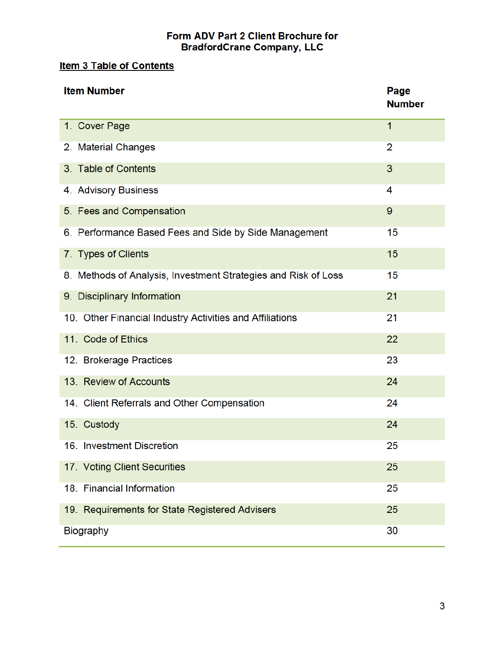## **Item 3 Table of Contents**

| <b>Item Number</b>                                             | Page<br><b>Number</b> |
|----------------------------------------------------------------|-----------------------|
| 1. Cover Page                                                  | 1                     |
| 2. Material Changes                                            | 2                     |
| 3. Table of Contents                                           | 3                     |
| 4. Advisory Business                                           | 4                     |
| 5. Fees and Compensation                                       | 9                     |
| 6. Performance Based Fees and Side by Side Management          | 15                    |
| 7. Types of Clients                                            | 15                    |
| 8. Methods of Analysis, Investment Strategies and Risk of Loss | 15                    |
| 9. Disciplinary Information                                    | 21                    |
| 10. Other Financial Industry Activities and Affiliations       | 21                    |
| 11. Code of Ethics                                             | 22                    |
| 12. Brokerage Practices                                        | 23                    |
| 13. Review of Accounts                                         | 24                    |
| 14. Client Referrals and Other Compensation                    | 24                    |
| 15. Custody                                                    | 24                    |
| 16. Investment Discretion                                      | 25                    |
| 17. Voting Client Securities                                   | 25                    |
| 18. Financial Information                                      | 25                    |
| 19. Requirements for State Registered Advisers                 | 25                    |
| Biography                                                      | 30                    |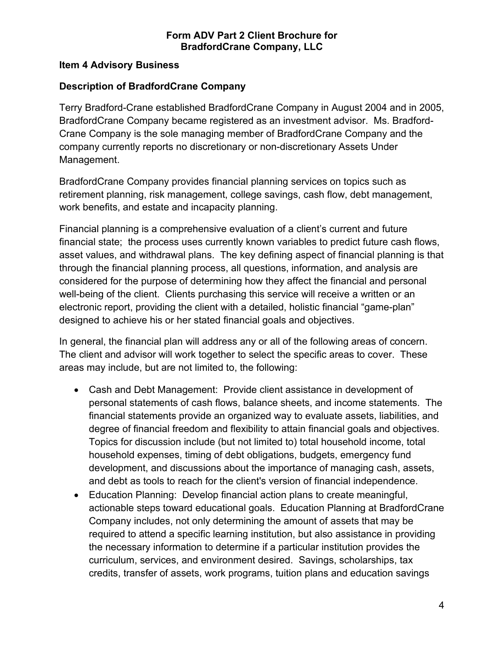#### **Item 4 Advisory Business**

## **Description of BradfordCrane Company**

Terry Bradford-Crane established BradfordCrane Company in August 2004 and in 2005, BradfordCrane Company became registered as an investment advisor. Ms. Bradford-Crane Company is the sole managing member of BradfordCrane Company and the company currently reports no discretionary or non-discretionary Assets Under Management.

BradfordCrane Company provides financial planning services on topics such as retirement planning, risk management, college savings, cash flow, debt management, work benefits, and estate and incapacity planning.

Financial planning is a comprehensive evaluation of a client's current and future financial state; the process uses currently known variables to predict future cash flows, asset values, and withdrawal plans. The key defining aspect of financial planning is that through the financial planning process, all questions, information, and analysis are considered for the purpose of determining how they affect the financial and personal well-being of the client. Clients purchasing this service will receive a written or an electronic report, providing the client with a detailed, holistic financial "game-plan" designed to achieve his or her stated financial goals and objectives.

In general, the financial plan will address any or all of the following areas of concern. The client and advisor will work together to select the specific areas to cover. These areas may include, but are not limited to, the following:

- Cash and Debt Management: Provide client assistance in development of personal statements of cash flows, balance sheets, and income statements. The financial statements provide an organized way to evaluate assets, liabilities, and degree of financial freedom and flexibility to attain financial goals and objectives. Topics for discussion include (but not limited to) total household income, total household expenses, timing of debt obligations, budgets, emergency fund development, and discussions about the importance of managing cash, assets, and debt as tools to reach for the client's version of financial independence.
- Education Planning: Develop financial action plans to create meaningful, actionable steps toward educational goals. Education Planning at BradfordCrane Company includes, not only determining the amount of assets that may be required to attend a specific learning institution, but also assistance in providing the necessary information to determine if a particular institution provides the curriculum, services, and environment desired. Savings, scholarships, tax credits, transfer of assets, work programs, tuition plans and education savings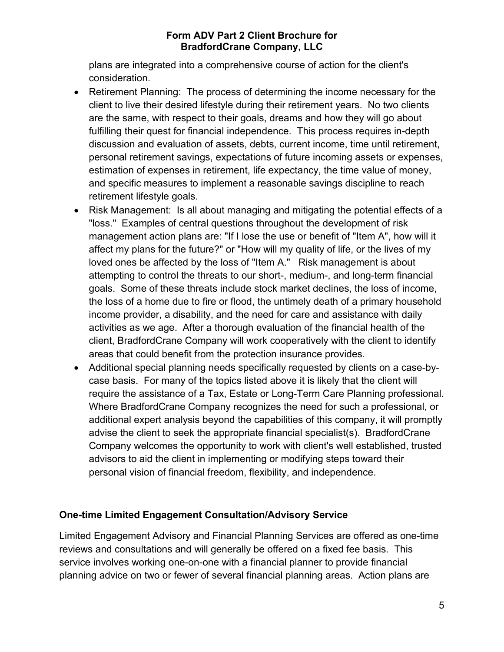plans are integrated into a comprehensive course of action for the client's consideration.

- Retirement Planning: The process of determining the income necessary for the client to live their desired lifestyle during their retirement years. No two clients are the same, with respect to their goals, dreams and how they will go about fulfilling their quest for financial independence. This process requires in-depth discussion and evaluation of assets, debts, current income, time until retirement, personal retirement savings, expectations of future incoming assets or expenses, estimation of expenses in retirement, life expectancy, the time value of money, and specific measures to implement a reasonable savings discipline to reach retirement lifestyle goals.
- Risk Management: Is all about managing and mitigating the potential effects of a "loss." Examples of central questions throughout the development of risk management action plans are: "If I lose the use or benefit of "Item A", how will it affect my plans for the future?" or "How will my quality of life, or the lives of my loved ones be affected by the loss of "Item A." Risk management is about attempting to control the threats to our short-, medium-, and long-term financial goals. Some of these threats include stock market declines, the loss of income, the loss of a home due to fire or flood, the untimely death of a primary household income provider, a disability, and the need for care and assistance with daily activities as we age. After a thorough evaluation of the financial health of the client, BradfordCrane Company will work cooperatively with the client to identify areas that could benefit from the protection insurance provides.
- Additional special planning needs specifically requested by clients on a case-bycase basis. For many of the topics listed above it is likely that the client will require the assistance of a Tax, Estate or Long-Term Care Planning professional. Where BradfordCrane Company recognizes the need for such a professional, or additional expert analysis beyond the capabilities of this company, it will promptly advise the client to seek the appropriate financial specialist(s). BradfordCrane Company welcomes the opportunity to work with client's well established, trusted advisors to aid the client in implementing or modifying steps toward their personal vision of financial freedom, flexibility, and independence.

## **One-time Limited Engagement Consultation/Advisory Service**

Limited Engagement Advisory and Financial Planning Services are offered as one-time reviews and consultations and will generally be offered on a fixed fee basis. This service involves working one-on-one with a financial planner to provide financial planning advice on two or fewer of several financial planning areas. Action plans are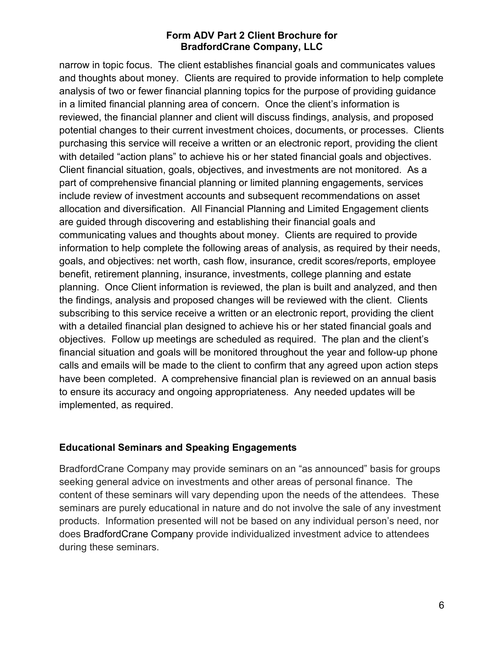narrow in topic focus. The client establishes financial goals and communicates values and thoughts about money. Clients are required to provide information to help complete analysis of two or fewer financial planning topics for the purpose of providing guidance in a limited financial planning area of concern. Once the client's information is reviewed, the financial planner and client will discuss findings, analysis, and proposed potential changes to their current investment choices, documents, or processes. Clients purchasing this service will receive a written or an electronic report, providing the client with detailed "action plans" to achieve his or her stated financial goals and objectives. Client financial situation, goals, objectives, and investments are not monitored. As a part of comprehensive financial planning or limited planning engagements, services include review of investment accounts and subsequent recommendations on asset allocation and diversification. All Financial Planning and Limited Engagement clients are guided through discovering and establishing their financial goals and communicating values and thoughts about money. Clients are required to provide information to help complete the following areas of analysis, as required by their needs, goals, and objectives: net worth, cash flow, insurance, credit scores/reports, employee benefit, retirement planning, insurance, investments, college planning and estate planning. Once Client information is reviewed, the plan is built and analyzed, and then the findings, analysis and proposed changes will be reviewed with the client. Clients subscribing to this service receive a written or an electronic report, providing the client with a detailed financial plan designed to achieve his or her stated financial goals and objectives. Follow up meetings are scheduled as required. The plan and the client's financial situation and goals will be monitored throughout the year and follow-up phone calls and emails will be made to the client to confirm that any agreed upon action steps have been completed. A comprehensive financial plan is reviewed on an annual basis to ensure its accuracy and ongoing appropriateness. Any needed updates will be implemented, as required.

## **Educational Seminars and Speaking Engagements**

BradfordCrane Company may provide seminars on an "as announced" basis for groups seeking general advice on investments and other areas of personal finance. The content of these seminars will vary depending upon the needs of the attendees. These seminars are purely educational in nature and do not involve the sale of any investment products. Information presented will not be based on any individual person's need, nor does BradfordCrane Company provide individualized investment advice to attendees during these seminars.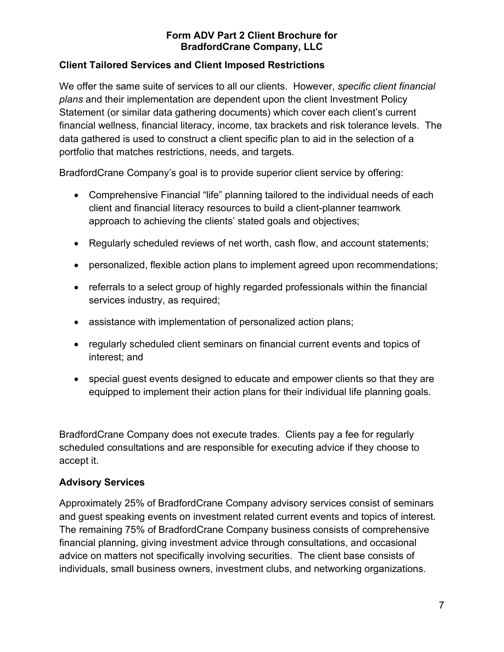## **Client Tailored Services and Client Imposed Restrictions**

We offer the same suite of services to all our clients. However, *specific client financial plans* and their implementation are dependent upon the client Investment Policy Statement (or similar data gathering documents) which cover each client's current financial wellness, financial literacy, income, tax brackets and risk tolerance levels. The data gathered is used to construct a client specific plan to aid in the selection of a portfolio that matches restrictions, needs, and targets.

BradfordCrane Company's goal is to provide superior client service by offering:

- Comprehensive Financial "life" planning tailored to the individual needs of each client and financial literacy resources to build a client-planner teamwork approach to achieving the clients' stated goals and objectives;
- Regularly scheduled reviews of net worth, cash flow, and account statements;
- personalized, flexible action plans to implement agreed upon recommendations;
- referrals to a select group of highly regarded professionals within the financial services industry, as required;
- assistance with implementation of personalized action plans;
- regularly scheduled client seminars on financial current events and topics of interest; and
- special guest events designed to educate and empower clients so that they are equipped to implement their action plans for their individual life planning goals.

BradfordCrane Company does not execute trades. Clients pay a fee for regularly scheduled consultations and are responsible for executing advice if they choose to accept it.

## **Advisory Services**

Approximately 25% of BradfordCrane Company advisory services consist of seminars and guest speaking events on investment related current events and topics of interest. The remaining 75% of BradfordCrane Company business consists of comprehensive financial planning, giving investment advice through consultations, and occasional advice on matters not specifically involving securities. The client base consists of individuals, small business owners, investment clubs, and networking organizations.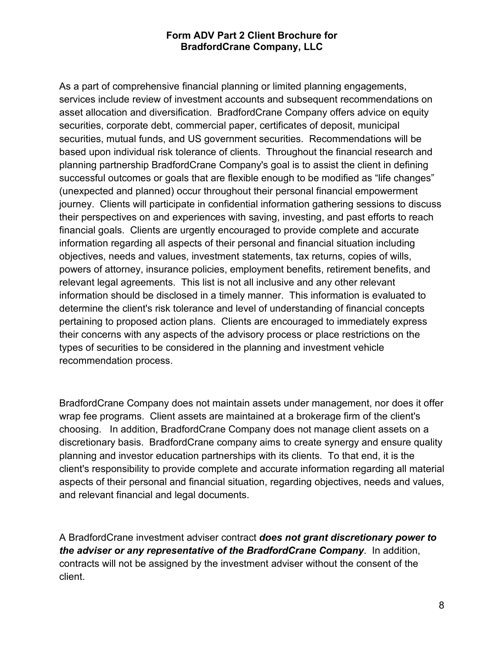As a part of comprehensive financial planning or limited planning engagements, services include review of investment accounts and subsequent recommendations on asset allocation and diversification. BradfordCrane Company offers advice on equity securities, corporate debt, commercial paper, certificates of deposit, municipal securities, mutual funds, and US government securities. Recommendations will be based upon individual risk tolerance of clients. Throughout the financial research and planning partnership BradfordCrane Company's goal is to assist the client in defining successful outcomes or goals that are flexible enough to be modified as "life changes" (unexpected and planned) occur throughout their personal financial empowerment journey. Clients will participate in confidential information gathering sessions to discuss their perspectives on and experiences with saving, investing, and past efforts to reach financial goals. Clients are urgently encouraged to provide complete and accurate information regarding all aspects of their personal and financial situation including objectives, needs and values, investment statements, tax returns, copies of wills, powers of attorney, insurance policies, employment benefits, retirement benefits, and relevant legal agreements. This list is not all inclusive and any other relevant information should be disclosed in a timely manner. This information is evaluated to determine the client's risk tolerance and level of understanding of financial concepts pertaining to proposed action plans. Clients are encouraged to immediately express their concerns with any aspects of the advisory process or place restrictions on the types of securities to be considered in the planning and investment vehicle recommendation process.

BradfordCrane Company does not maintain assets under management, nor does it offer wrap fee programs. Client assets are maintained at a brokerage firm of the client's choosing. In addition, BradfordCrane Company does not manage client assets on a discretionary basis. BradfordCrane company aims to create synergy and ensure quality planning and investor education partnerships with its clients. To that end, it is the client's responsibility to provide complete and accurate information regarding all material aspects of their personal and financial situation, regarding objectives, needs and values, and relevant financial and legal documents.

A BradfordCrane investment adviser contract *does not grant discretionary power to the adviser or any representative of the BradfordCrane Company*. In addition, contracts will not be assigned by the investment adviser without the consent of the client.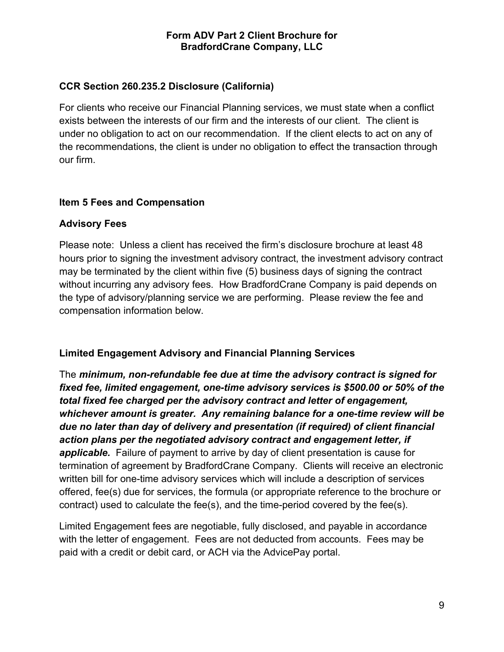## **CCR Section 260.235.2 Disclosure (California)**

For clients who receive our Financial Planning services, we must state when a conflict exists between the interests of our firm and the interests of our client. The client is under no obligation to act on our recommendation. If the client elects to act on any of the recommendations, the client is under no obligation to effect the transaction through our firm.

## **Item 5 Fees and Compensation**

#### **Advisory Fees**

Please note: Unless a client has received the firm's disclosure brochure at least 48 hours prior to signing the investment advisory contract, the investment advisory contract may be terminated by the client within five (5) business days of signing the contract without incurring any advisory fees. How BradfordCrane Company is paid depends on the type of advisory/planning service we are performing. Please review the fee and compensation information below.

## **Limited Engagement Advisory and Financial Planning Services**

The *minimum, non-refundable fee due at time the advisory contract is signed for fixed fee, limited engagement, one-time advisory services is \$500.00 or 50% of the total fixed fee charged per the advisory contract and letter of engagement, whichever amount is greater. Any remaining balance for a one-time review will be due no later than day of delivery and presentation (if required) of client financial action plans per the negotiated advisory contract and engagement letter, if applicable.* Failure of payment to arrive by day of client presentation is cause for termination of agreement by BradfordCrane Company. Clients will receive an electronic written bill for one-time advisory services which will include a description of services offered, fee(s) due for services, the formula (or appropriate reference to the brochure or contract) used to calculate the fee(s), and the time-period covered by the fee(s).

Limited Engagement fees are negotiable, fully disclosed, and payable in accordance with the letter of engagement. Fees are not deducted from accounts. Fees may be paid with a credit or debit card, or ACH via the AdvicePay portal.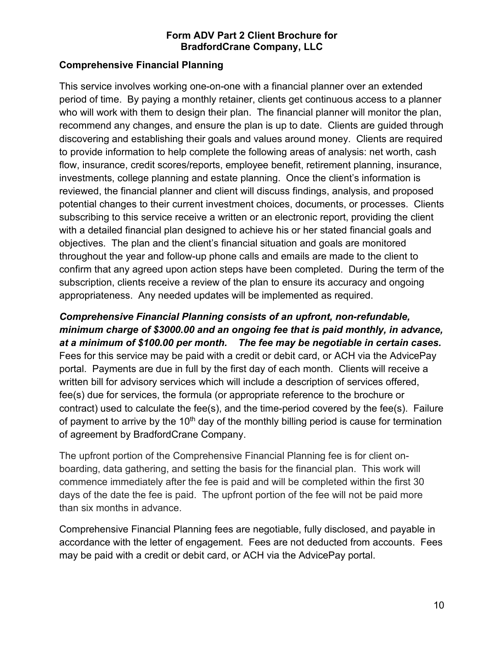## **Comprehensive Financial Planning**

This service involves working one-on-one with a financial planner over an extended period of time. By paying a monthly retainer, clients get continuous access to a planner who will work with them to design their plan. The financial planner will monitor the plan, recommend any changes, and ensure the plan is up to date. Clients are guided through discovering and establishing their goals and values around money. Clients are required to provide information to help complete the following areas of analysis: net worth, cash flow, insurance, credit scores/reports, employee benefit, retirement planning, insurance, investments, college planning and estate planning. Once the client's information is reviewed, the financial planner and client will discuss findings, analysis, and proposed potential changes to their current investment choices, documents, or processes. Clients subscribing to this service receive a written or an electronic report, providing the client with a detailed financial plan designed to achieve his or her stated financial goals and objectives. The plan and the client's financial situation and goals are monitored throughout the year and follow-up phone calls and emails are made to the client to confirm that any agreed upon action steps have been completed. During the term of the subscription, clients receive a review of the plan to ensure its accuracy and ongoing appropriateness. Any needed updates will be implemented as required.

*Comprehensive Financial Planning consists of an upfront, non-refundable, minimum charge of \$3000.00 and an ongoing fee that is paid monthly, in advance, at a minimum of \$100.00 per month. The fee may be negotiable in certain cases.* Fees for this service may be paid with a credit or debit card, or ACH via the AdvicePay portal. Payments are due in full by the first day of each month. Clients will receive a written bill for advisory services which will include a description of services offered, fee(s) due for services, the formula (or appropriate reference to the brochure or contract) used to calculate the fee(s), and the time-period covered by the fee(s). Failure of payment to arrive by the  $10<sup>th</sup>$  day of the monthly billing period is cause for termination of agreement by BradfordCrane Company.

The upfront portion of the Comprehensive Financial Planning fee is for client onboarding, data gathering, and setting the basis for the financial plan. This work will commence immediately after the fee is paid and will be completed within the first 30 days of the date the fee is paid. The upfront portion of the fee will not be paid more than six months in advance.

Comprehensive Financial Planning fees are negotiable, fully disclosed, and payable in accordance with the letter of engagement. Fees are not deducted from accounts. Fees may be paid with a credit or debit card, or ACH via the AdvicePay portal.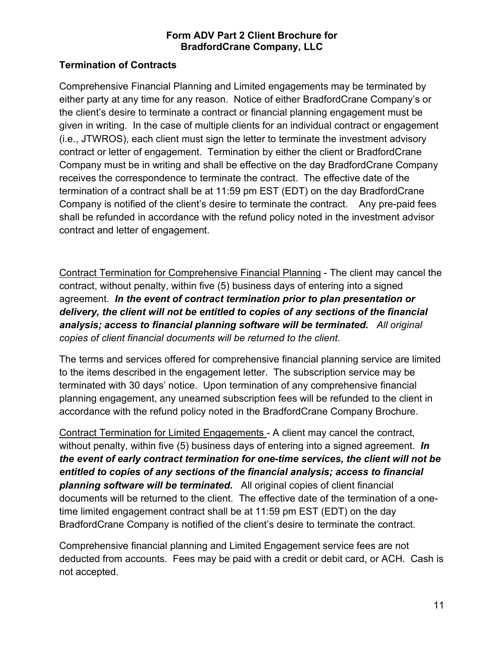## **Termination of Contracts**

Comprehensive Financial Planning and Limited engagements may be terminated by either party at any time for any reason. Notice of either BradfordCrane Company's or the client's desire to terminate a contract or financial planning engagement must be given in writing. In the case of multiple clients for an individual contract or engagement (i.e., JTWROS), each client must sign the letter to terminate the investment advisory contract or letter of engagement. Termination by either the client or BradfordCrane Company must be in writing and shall be effective on the day BradfordCrane Company receives the correspondence to terminate the contract. The effective date of the termination of a contract shall be at 11:59 pm EST (EDT) on the day BradfordCrane Company is notified of the client's desire to terminate the contract. Any pre-paid fees shall be refunded in accordance with the refund policy noted in the investment advisor contract and letter of engagement.

Contract Termination for Comprehensive Financial Planning - The client may cancel the contract, without penalty, within five (5) business days of entering into a signed agreement. *In the event of contract termination prior to plan presentation or delivery, the client will not be entitled to copies of any sections of the financial analysis; access to financial planning software will be terminated. All original copies of client financial documents will be returned to the client.*

The terms and services offered for comprehensive financial planning service are limited to the items described in the engagement letter. The subscription service may be terminated with 30 days' notice. Upon termination of any comprehensive financial planning engagement, any unearned subscription fees will be refunded to the client in accordance with the refund policy noted in the BradfordCrane Company Brochure.

Contract Termination for Limited Engagements - A client may cancel the contract, without penalty, within five (5) business days of entering into a signed agreement. *In the event of early contract termination for one-time services, the client will not be entitled to copies of any sections of the financial analysis; access to financial planning software will be terminated.* All original copies of client financial documents will be returned to the client.The effective date of the termination of a onetime limited engagement contract shall be at 11:59 pm EST (EDT) on the day BradfordCrane Company is notified of the client's desire to terminate the contract.

Comprehensive financial planning and Limited Engagement service fees are not deducted from accounts. Fees may be paid with a credit or debit card, or ACH. Cash is not accepted.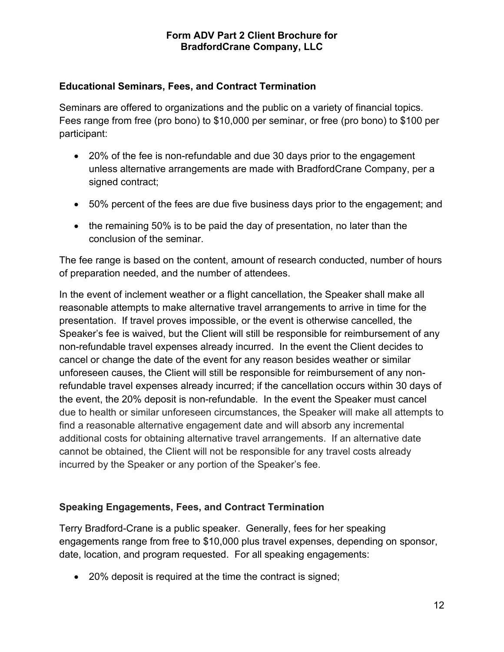#### **Educational Seminars, Fees, and Contract Termination**

Seminars are offered to organizations and the public on a variety of financial topics. Fees range from free (pro bono) to \$10,000 per seminar, or free (pro bono) to \$100 per participant:

- 20% of the fee is non-refundable and due 30 days prior to the engagement unless alternative arrangements are made with BradfordCrane Company, per a signed contract:
- 50% percent of the fees are due five business days prior to the engagement; and
- the remaining 50% is to be paid the day of presentation, no later than the conclusion of the seminar.

The fee range is based on the content, amount of research conducted, number of hours of preparation needed, and the number of attendees.

In the event of inclement weather or a flight cancellation, the Speaker shall make all reasonable attempts to make alternative travel arrangements to arrive in time for the presentation. If travel proves impossible, or the event is otherwise cancelled, the Speaker's fee is waived, but the Client will still be responsible for reimbursement of any non-refundable travel expenses already incurred. In the event the Client decides to cancel or change the date of the event for any reason besides weather or similar unforeseen causes, the Client will still be responsible for reimbursement of any nonrefundable travel expenses already incurred; if the cancellation occurs within 30 days of the event, the 20% deposit is non-refundable. In the event the Speaker must cancel due to health or similar unforeseen circumstances, the Speaker will make all attempts to find a reasonable alternative engagement date and will absorb any incremental additional costs for obtaining alternative travel arrangements. If an alternative date cannot be obtained, the Client will not be responsible for any travel costs already incurred by the Speaker or any portion of the Speaker's fee.

## **Speaking Engagements, Fees, and Contract Termination**

Terry Bradford-Crane is a public speaker. Generally, fees for her speaking engagements range from free to \$10,000 plus travel expenses, depending on sponsor, date, location, and program requested. For all speaking engagements:

• 20% deposit is required at the time the contract is signed;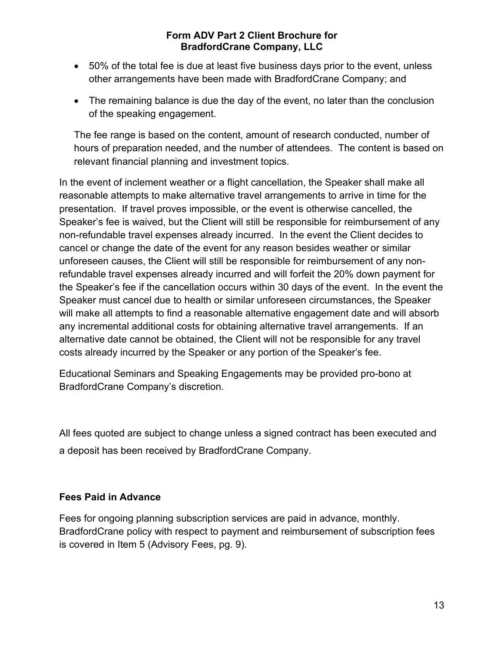- 50% of the total fee is due at least five business days prior to the event, unless other arrangements have been made with BradfordCrane Company; and
- The remaining balance is due the day of the event, no later than the conclusion of the speaking engagement.

The fee range is based on the content, amount of research conducted, number of hours of preparation needed, and the number of attendees. The content is based on relevant financial planning and investment topics.

In the event of inclement weather or a flight cancellation, the Speaker shall make all reasonable attempts to make alternative travel arrangements to arrive in time for the presentation. If travel proves impossible, or the event is otherwise cancelled, the Speaker's fee is waived, but the Client will still be responsible for reimbursement of any non-refundable travel expenses already incurred. In the event the Client decides to cancel or change the date of the event for any reason besides weather or similar unforeseen causes, the Client will still be responsible for reimbursement of any nonrefundable travel expenses already incurred and will forfeit the 20% down payment for the Speaker's fee if the cancellation occurs within 30 days of the event. In the event the Speaker must cancel due to health or similar unforeseen circumstances, the Speaker will make all attempts to find a reasonable alternative engagement date and will absorb any incremental additional costs for obtaining alternative travel arrangements. If an alternative date cannot be obtained, the Client will not be responsible for any travel costs already incurred by the Speaker or any portion of the Speaker's fee.

Educational Seminars and Speaking Engagements may be provided pro-bono at BradfordCrane Company's discretion.

All fees quoted are subject to change unless a signed contract has been executed and a deposit has been received by BradfordCrane Company.

## **Fees Paid in Advance**

Fees for ongoing planning subscription services are paid in advance, monthly. BradfordCrane policy with respect to payment and reimbursement of subscription fees is covered in Item 5 (Advisory Fees, pg. 9).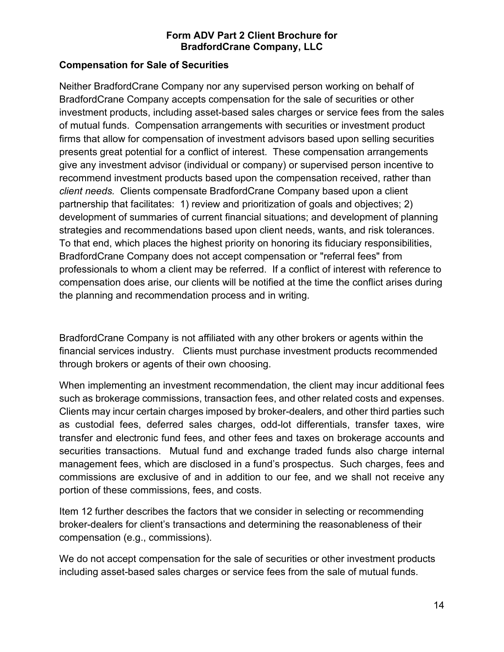#### **Compensation for Sale of Securities**

Neither BradfordCrane Company nor any supervised person working on behalf of BradfordCrane Company accepts compensation for the sale of securities or other investment products, including asset-based sales charges or service fees from the sales of mutual funds. Compensation arrangements with securities or investment product firms that allow for compensation of investment advisors based upon selling securities presents great potential for a conflict of interest. These compensation arrangements give any investment advisor (individual or company) or supervised person incentive to recommend investment products based upon the compensation received, rather than *client needs.* Clients compensate BradfordCrane Company based upon a client partnership that facilitates: 1) review and prioritization of goals and objectives; 2) development of summaries of current financial situations; and development of planning strategies and recommendations based upon client needs, wants, and risk tolerances. To that end, which places the highest priority on honoring its fiduciary responsibilities, BradfordCrane Company does not accept compensation or "referral fees" from professionals to whom a client may be referred. If a conflict of interest with reference to compensation does arise, our clients will be notified at the time the conflict arises during the planning and recommendation process and in writing.

BradfordCrane Company is not affiliated with any other brokers or agents within the financial services industry. Clients must purchase investment products recommended through brokers or agents of their own choosing.

When implementing an investment recommendation, the client may incur additional fees such as brokerage commissions, transaction fees, and other related costs and expenses. Clients may incur certain charges imposed by broker-dealers, and other third parties such as custodial fees, deferred sales charges, odd-lot differentials, transfer taxes, wire transfer and electronic fund fees, and other fees and taxes on brokerage accounts and securities transactions. Mutual fund and exchange traded funds also charge internal management fees, which are disclosed in a fund's prospectus. Such charges, fees and commissions are exclusive of and in addition to our fee, and we shall not receive any portion of these commissions, fees, and costs.

Item 12 further describes the factors that we consider in selecting or recommending broker-dealers for client's transactions and determining the reasonableness of their compensation (e.g., commissions).

We do not accept compensation for the sale of securities or other investment products including asset-based sales charges or service fees from the sale of mutual funds.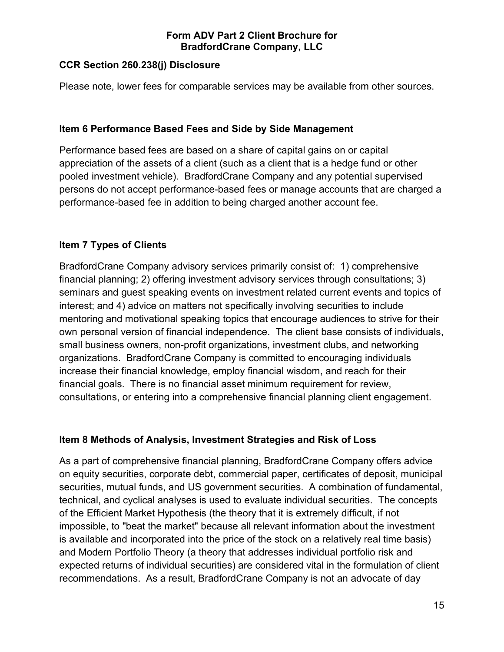## **CCR Section 260.238(j) Disclosure**

Please note, lower fees for comparable services may be available from other sources.

#### **Item 6 Performance Based Fees and Side by Side Management**

Performance based fees are based on a share of capital gains on or capital appreciation of the assets of a client (such as a client that is a hedge fund or other pooled investment vehicle). BradfordCrane Company and any potential supervised persons do not accept performance-based fees or manage accounts that are charged a performance-based fee in addition to being charged another account fee.

#### **Item 7 Types of Clients**

BradfordCrane Company advisory services primarily consist of: 1) comprehensive financial planning; 2) offering investment advisory services through consultations; 3) seminars and guest speaking events on investment related current events and topics of interest; and 4) advice on matters not specifically involving securities to include mentoring and motivational speaking topics that encourage audiences to strive for their own personal version of financial independence. The client base consists of individuals, small business owners, non-profit organizations, investment clubs, and networking organizations. BradfordCrane Company is committed to encouraging individuals increase their financial knowledge, employ financial wisdom, and reach for their financial goals. There is no financial asset minimum requirement for review, consultations, or entering into a comprehensive financial planning client engagement.

#### **Item 8 Methods of Analysis, Investment Strategies and Risk of Loss**

As a part of comprehensive financial planning, BradfordCrane Company offers advice on equity securities, corporate debt, commercial paper, certificates of deposit, municipal securities, mutual funds, and US government securities. A combination of fundamental, technical, and cyclical analyses is used to evaluate individual securities. The concepts of the Efficient Market Hypothesis (the theory that it is extremely difficult, if not impossible, to "beat the market" because all relevant information about the investment is available and incorporated into the price of the stock on a relatively real time basis) and Modern Portfolio Theory (a theory that addresses individual portfolio risk and expected returns of individual securities) are considered vital in the formulation of client recommendations. As a result, BradfordCrane Company is not an advocate of day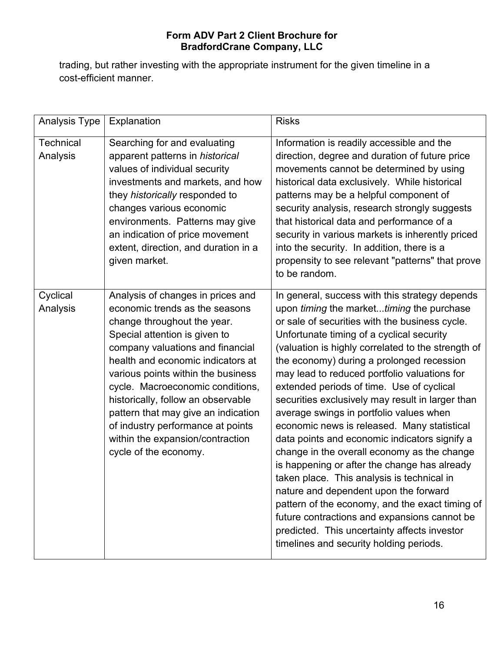trading, but rather investing with the appropriate instrument for the given timeline in a cost-efficient manner.

| <b>Analysis Type</b>         | Explanation                                                                                                                                                                                                                                                                                                                                                                                                                                                           | <b>Risks</b>                                                                                                                                                                                                                                                                                                                                                                                                                                                                                                                                                                                                                                                                                                                                                                                                                                                                                                                                                                  |
|------------------------------|-----------------------------------------------------------------------------------------------------------------------------------------------------------------------------------------------------------------------------------------------------------------------------------------------------------------------------------------------------------------------------------------------------------------------------------------------------------------------|-------------------------------------------------------------------------------------------------------------------------------------------------------------------------------------------------------------------------------------------------------------------------------------------------------------------------------------------------------------------------------------------------------------------------------------------------------------------------------------------------------------------------------------------------------------------------------------------------------------------------------------------------------------------------------------------------------------------------------------------------------------------------------------------------------------------------------------------------------------------------------------------------------------------------------------------------------------------------------|
| <b>Technical</b><br>Analysis | Searching for and evaluating<br>apparent patterns in historical<br>values of individual security<br>investments and markets, and how<br>they historically responded to<br>changes various economic<br>environments. Patterns may give<br>an indication of price movement<br>extent, direction, and duration in a<br>given market.                                                                                                                                     | Information is readily accessible and the<br>direction, degree and duration of future price<br>movements cannot be determined by using<br>historical data exclusively. While historical<br>patterns may be a helpful component of<br>security analysis, research strongly suggests<br>that historical data and performance of a<br>security in various markets is inherently priced<br>into the security. In addition, there is a<br>propensity to see relevant "patterns" that prove<br>to be random.                                                                                                                                                                                                                                                                                                                                                                                                                                                                        |
| Cyclical<br>Analysis         | Analysis of changes in prices and<br>economic trends as the seasons<br>change throughout the year.<br>Special attention is given to<br>company valuations and financial<br>health and economic indicators at<br>various points within the business<br>cycle. Macroeconomic conditions,<br>historically, follow an observable<br>pattern that may give an indication<br>of industry performance at points<br>within the expansion/contraction<br>cycle of the economy. | In general, success with this strategy depends<br>upon timing the markettiming the purchase<br>or sale of securities with the business cycle.<br>Unfortunate timing of a cyclical security<br>(valuation is highly correlated to the strength of<br>the economy) during a prolonged recession<br>may lead to reduced portfolio valuations for<br>extended periods of time. Use of cyclical<br>securities exclusively may result in larger than<br>average swings in portfolio values when<br>economic news is released. Many statistical<br>data points and economic indicators signify a<br>change in the overall economy as the change<br>is happening or after the change has already<br>taken place. This analysis is technical in<br>nature and dependent upon the forward<br>pattern of the economy, and the exact timing of<br>future contractions and expansions cannot be<br>predicted. This uncertainty affects investor<br>timelines and security holding periods. |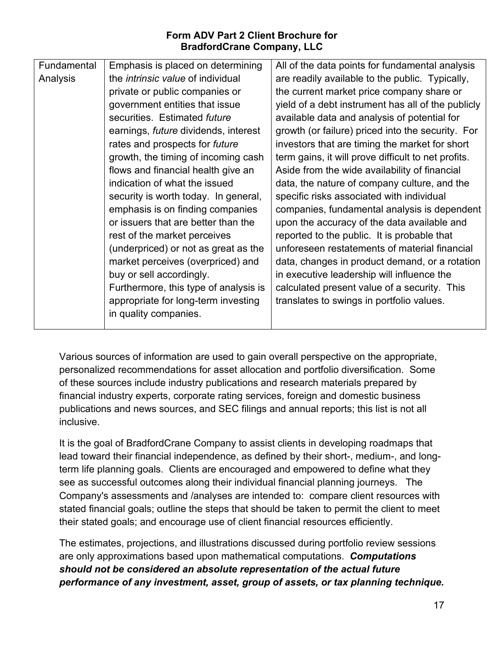| Fundamental | Emphasis is placed on determining           | All of the data points for fundamental analysis     |
|-------------|---------------------------------------------|-----------------------------------------------------|
| Analysis    | the <i>intrinsic value</i> of individual    | are readily available to the public. Typically,     |
|             | private or public companies or              | the current market price company share or           |
|             | government entities that issue              | yield of a debt instrument has all of the publicly  |
|             | securities. Estimated future                | available data and analysis of potential for        |
|             | earnings, <i>future</i> dividends, interest | growth (or failure) priced into the security. For   |
|             | rates and prospects for <i>future</i>       | investors that are timing the market for short      |
|             | growth, the timing of incoming cash         | term gains, it will prove difficult to net profits. |
|             | flows and financial health give an          | Aside from the wide availability of financial       |
|             | indication of what the issued               | data, the nature of company culture, and the        |
|             | security is worth today. In general,        | specific risks associated with individual           |
|             | emphasis is on finding companies            | companies, fundamental analysis is dependent        |
|             | or issuers that are better than the         | upon the accuracy of the data available and         |
|             | rest of the market perceives                | reported to the public. It is probable that         |
|             | (underpriced) or not as great as the        | unforeseen restatements of material financial       |
|             | market perceives (overpriced) and           | data, changes in product demand, or a rotation      |
|             | buy or sell accordingly.                    | in executive leadership will influence the          |
|             | Furthermore, this type of analysis is       | calculated present value of a security. This        |
|             | appropriate for long-term investing         | translates to swings in portfolio values.           |
|             | in quality companies.                       |                                                     |
|             |                                             |                                                     |

Various sources of information are used to gain overall perspective on the appropriate, personalized recommendations for asset allocation and portfolio diversification. Some of these sources include industry publications and research materials prepared by financial industry experts, corporate rating services, foreign and domestic business publications and news sources, and SEC filings and annual reports; this list is not all inclusive.

It is the goal of BradfordCrane Company to assist clients in developing roadmaps that lead toward their financial independence, as defined by their short-, medium-, and longterm life planning goals. Clients are encouraged and empowered to define what they see as successful outcomes along their individual financial planning journeys. The Company's assessments and /analyses are intended to: compare client resources with stated financial goals; outline the steps that should be taken to permit the client to meet their stated goals; and encourage use of client financial resources efficiently.

The estimates, projections, and illustrations discussed during portfolio review sessions are only approximations based upon mathematical computations. *Computations should not be considered an absolute representation of the actual future performance of any investment, asset, group of assets, or tax planning technique.*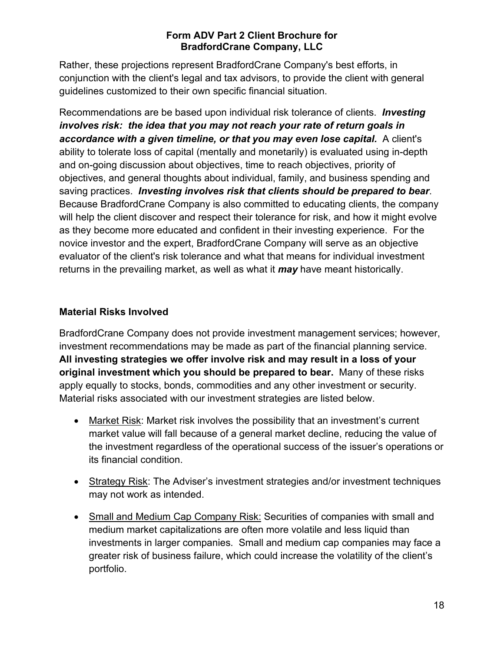Rather, these projections represent BradfordCrane Company's best efforts, in conjunction with the client's legal and tax advisors, to provide the client with general guidelines customized to their own specific financial situation.

Recommendations are be based upon individual risk tolerance of clients. *Investing involves risk: the idea that you may not reach your rate of return goals in accordance with a given timeline, or that you may even lose capital.* A client's ability to tolerate loss of capital (mentally and monetarily) is evaluated using in-depth and on-going discussion about objectives, time to reach objectives, priority of objectives, and general thoughts about individual, family, and business spending and saving practices. *Investing involves risk that clients should be prepared to bear*. Because BradfordCrane Company is also committed to educating clients, the company will help the client discover and respect their tolerance for risk, and how it might evolve as they become more educated and confident in their investing experience. For the novice investor and the expert, BradfordCrane Company will serve as an objective evaluator of the client's risk tolerance and what that means for individual investment returns in the prevailing market, as well as what it *may* have meant historically.

## **Material Risks Involved**

BradfordCrane Company does not provide investment management services; however, investment recommendations may be made as part of the financial planning service. **All investing strategies we offer involve risk and may result in a loss of your original investment which you should be prepared to bear.** Many of these risks apply equally to stocks, bonds, commodities and any other investment or security. Material risks associated with our investment strategies are listed below.

- Market Risk: Market risk involves the possibility that an investment's current market value will fall because of a general market decline, reducing the value of the investment regardless of the operational success of the issuer's operations or its financial condition.
- Strategy Risk: The Adviser's investment strategies and/or investment techniques may not work as intended.
- Small and Medium Cap Company Risk: Securities of companies with small and medium market capitalizations are often more volatile and less liquid than investments in larger companies. Small and medium cap companies may face a greater risk of business failure, which could increase the volatility of the client's portfolio.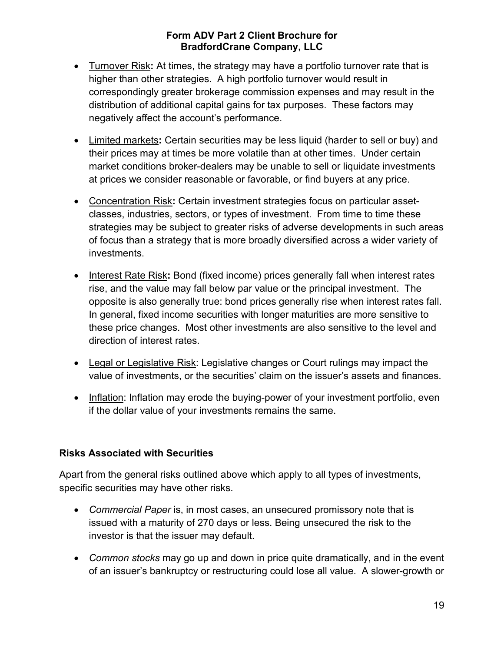- Turnover Risk**:** At times, the strategy may have a portfolio turnover rate that is higher than other strategies. A high portfolio turnover would result in correspondingly greater brokerage commission expenses and may result in the distribution of additional capital gains for tax purposes. These factors may negatively affect the account's performance.
- Limited markets**:** Certain securities may be less liquid (harder to sell or buy) and their prices may at times be more volatile than at other times. Under certain market conditions broker-dealers may be unable to sell or liquidate investments at prices we consider reasonable or favorable, or find buyers at any price.
- Concentration Risk**:** Certain investment strategies focus on particular assetclasses, industries, sectors, or types of investment. From time to time these strategies may be subject to greater risks of adverse developments in such areas of focus than a strategy that is more broadly diversified across a wider variety of investments.
- Interest Rate Risk**:** Bond (fixed income) prices generally fall when interest rates rise, and the value may fall below par value or the principal investment. The opposite is also generally true: bond prices generally rise when interest rates fall. In general, fixed income securities with longer maturities are more sensitive to these price changes. Most other investments are also sensitive to the level and direction of interest rates.
- Legal or Legislative Risk: Legislative changes or Court rulings may impact the value of investments, or the securities' claim on the issuer's assets and finances.
- Inflation: Inflation may erode the buying-power of your investment portfolio, even if the dollar value of your investments remains the same.

## **Risks Associated with Securities**

Apart from the general risks outlined above which apply to all types of investments, specific securities may have other risks.

- *Commercial Paper* is, in most cases, an unsecured promissory note that is issued with a maturity of 270 days or less. Being unsecured the risk to the investor is that the issuer may default.
- *Common stocks* may go up and down in price quite dramatically, and in the event of an issuer's bankruptcy or restructuring could lose all value. A slower-growth or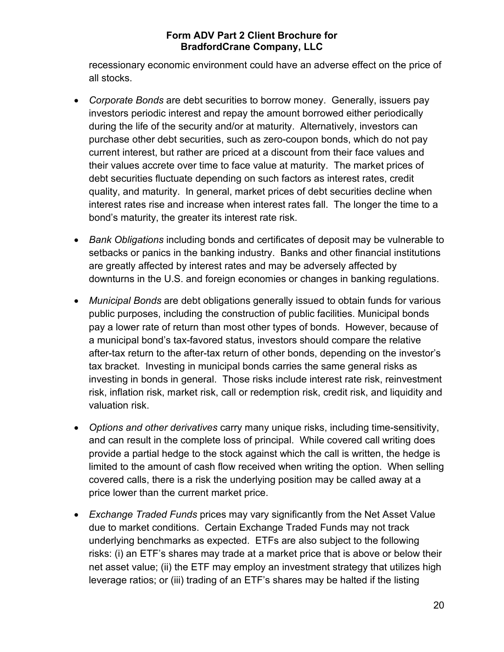recessionary economic environment could have an adverse effect on the price of all stocks.

- *Corporate Bonds* are debt securities to borrow money. Generally, issuers pay investors periodic interest and repay the amount borrowed either periodically during the life of the security and/or at maturity. Alternatively, investors can purchase other debt securities, such as zero-coupon bonds, which do not pay current interest, but rather are priced at a discount from their face values and their values accrete over time to face value at maturity. The market prices of debt securities fluctuate depending on such factors as interest rates, credit quality, and maturity. In general, market prices of debt securities decline when interest rates rise and increase when interest rates fall. The longer the time to a bond's maturity, the greater its interest rate risk.
- *Bank Obligations* including bonds and certificates of deposit may be vulnerable to setbacks or panics in the banking industry. Banks and other financial institutions are greatly affected by interest rates and may be adversely affected by downturns in the U.S. and foreign economies or changes in banking regulations.
- *Municipal Bonds* are debt obligations generally issued to obtain funds for various public purposes, including the construction of public facilities. Municipal bonds pay a lower rate of return than most other types of bonds. However, because of a municipal bond's tax-favored status, investors should compare the relative after-tax return to the after-tax return of other bonds, depending on the investor's tax bracket. Investing in municipal bonds carries the same general risks as investing in bonds in general. Those risks include interest rate risk, reinvestment risk, inflation risk, market risk, call or redemption risk, credit risk, and liquidity and valuation risk.
- *Options and other derivatives* carry many unique risks, including time-sensitivity, and can result in the complete loss of principal. While covered call writing does provide a partial hedge to the stock against which the call is written, the hedge is limited to the amount of cash flow received when writing the option. When selling covered calls, there is a risk the underlying position may be called away at a price lower than the current market price.
- *Exchange Traded Funds* prices may vary significantly from the Net Asset Value due to market conditions. Certain Exchange Traded Funds may not track underlying benchmarks as expected. ETFs are also subject to the following risks: (i) an ETF's shares may trade at a market price that is above or below their net asset value; (ii) the ETF may employ an investment strategy that utilizes high leverage ratios; or (iii) trading of an ETF's shares may be halted if the listing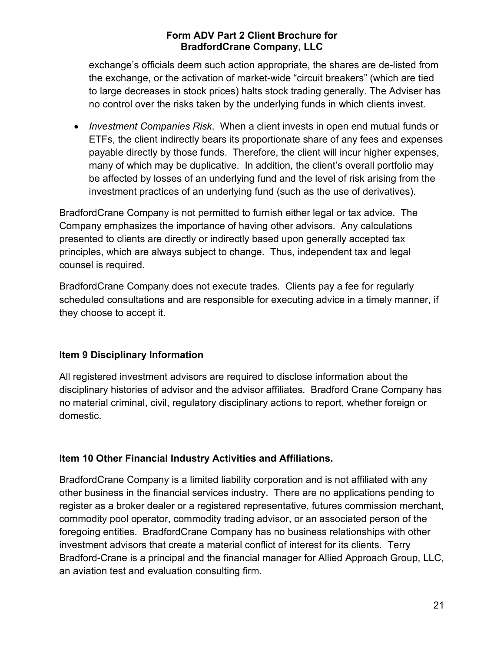exchange's officials deem such action appropriate, the shares are de-listed from the exchange, or the activation of market-wide "circuit breakers" (which are tied to large decreases in stock prices) halts stock trading generally. The Adviser has no control over the risks taken by the underlying funds in which clients invest.

• *Investment Companies Risk*. When a client invests in open end mutual funds or ETFs, the client indirectly bears its proportionate share of any fees and expenses payable directly by those funds. Therefore, the client will incur higher expenses, many of which may be duplicative. In addition, the client's overall portfolio may be affected by losses of an underlying fund and the level of risk arising from the investment practices of an underlying fund (such as the use of derivatives).

BradfordCrane Company is not permitted to furnish either legal or tax advice. The Company emphasizes the importance of having other advisors. Any calculations presented to clients are directly or indirectly based upon generally accepted tax principles, which are always subject to change. Thus, independent tax and legal counsel is required.

BradfordCrane Company does not execute trades. Clients pay a fee for regularly scheduled consultations and are responsible for executing advice in a timely manner, if they choose to accept it.

## **Item 9 Disciplinary Information**

All registered investment advisors are required to disclose information about the disciplinary histories of advisor and the advisor affiliates. Bradford Crane Company has no material criminal, civil, regulatory disciplinary actions to report, whether foreign or domestic.

## **Item 10 Other Financial Industry Activities and Affiliations.**

BradfordCrane Company is a limited liability corporation and is not affiliated with any other business in the financial services industry. There are no applications pending to register as a broker dealer or a registered representative, futures commission merchant, commodity pool operator, commodity trading advisor, or an associated person of the foregoing entities. BradfordCrane Company has no business relationships with other investment advisors that create a material conflict of interest for its clients. Terry Bradford-Crane is a principal and the financial manager for Allied Approach Group, LLC, an aviation test and evaluation consulting firm.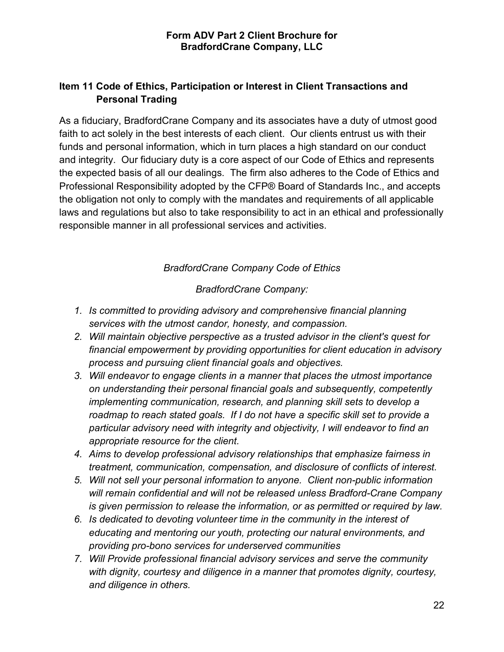## **Item 11 Code of Ethics, Participation or Interest in Client Transactions and Personal Trading**

As a fiduciary, BradfordCrane Company and its associates have a duty of utmost good faith to act solely in the best interests of each client. Our clients entrust us with their funds and personal information, which in turn places a high standard on our conduct and integrity. Our fiduciary duty is a core aspect of our Code of Ethics and represents the expected basis of all our dealings. The firm also adheres to the Code of Ethics and Professional Responsibility adopted by the CFP® Board of Standards Inc., and accepts the obligation not only to comply with the mandates and requirements of all applicable laws and regulations but also to take responsibility to act in an ethical and professionally responsible manner in all professional services and activities.

## *BradfordCrane Company Code of Ethics*

*BradfordCrane Company:*

- *1. Is committed to providing advisory and comprehensive financial planning services with the utmost candor, honesty, and compassion.*
- *2. Will maintain objective perspective as a trusted advisor in the client's quest for financial empowerment by providing opportunities for client education in advisory process and pursuing client financial goals and objectives.*
- *3. Will endeavor to engage clients in a manner that places the utmost importance on understanding their personal financial goals and subsequently, competently implementing communication, research, and planning skill sets to develop a roadmap to reach stated goals. If I do not have a specific skill set to provide a particular advisory need with integrity and objectivity, I will endeavor to find an appropriate resource for the client.*
- *4. Aims to develop professional advisory relationships that emphasize fairness in treatment, communication, compensation, and disclosure of conflicts of interest.*
- *5. Will not sell your personal information to anyone. Client non-public information will remain confidential and will not be released unless Bradford-Crane Company is given permission to release the information, or as permitted or required by law.*
- *6. Is dedicated to devoting volunteer time in the community in the interest of educating and mentoring our youth, protecting our natural environments, and providing pro-bono services for underserved communities*
- *7. Will Provide professional financial advisory services and serve the community with dignity, courtesy and diligence in a manner that promotes dignity, courtesy, and diligence in others.*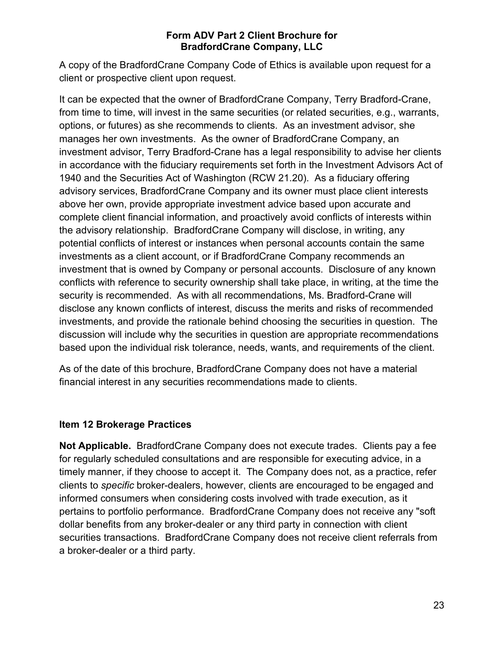A copy of the BradfordCrane Company Code of Ethics is available upon request for a client or prospective client upon request.

It can be expected that the owner of BradfordCrane Company, Terry Bradford-Crane, from time to time, will invest in the same securities (or related securities, e.g., warrants, options, or futures) as she recommends to clients. As an investment advisor, she manages her own investments. As the owner of BradfordCrane Company, an investment advisor, Terry Bradford-Crane has a legal responsibility to advise her clients in accordance with the fiduciary requirements set forth in the Investment Advisors Act of 1940 and the Securities Act of Washington (RCW 21.20). As a fiduciary offering advisory services, BradfordCrane Company and its owner must place client interests above her own, provide appropriate investment advice based upon accurate and complete client financial information, and proactively avoid conflicts of interests within the advisory relationship. BradfordCrane Company will disclose, in writing, any potential conflicts of interest or instances when personal accounts contain the same investments as a client account, or if BradfordCrane Company recommends an investment that is owned by Company or personal accounts. Disclosure of any known conflicts with reference to security ownership shall take place, in writing, at the time the security is recommended. As with all recommendations, Ms. Bradford-Crane will disclose any known conflicts of interest, discuss the merits and risks of recommended investments, and provide the rationale behind choosing the securities in question. The discussion will include why the securities in question are appropriate recommendations based upon the individual risk tolerance, needs, wants, and requirements of the client.

As of the date of this brochure, BradfordCrane Company does not have a material financial interest in any securities recommendations made to clients.

## **Item 12 Brokerage Practices**

**Not Applicable.** BradfordCrane Company does not execute trades. Clients pay a fee for regularly scheduled consultations and are responsible for executing advice, in a timely manner, if they choose to accept it. The Company does not, as a practice, refer clients to *specific* broker-dealers, however, clients are encouraged to be engaged and informed consumers when considering costs involved with trade execution, as it pertains to portfolio performance. BradfordCrane Company does not receive any "soft dollar benefits from any broker-dealer or any third party in connection with client securities transactions. BradfordCrane Company does not receive client referrals from a broker-dealer or a third party.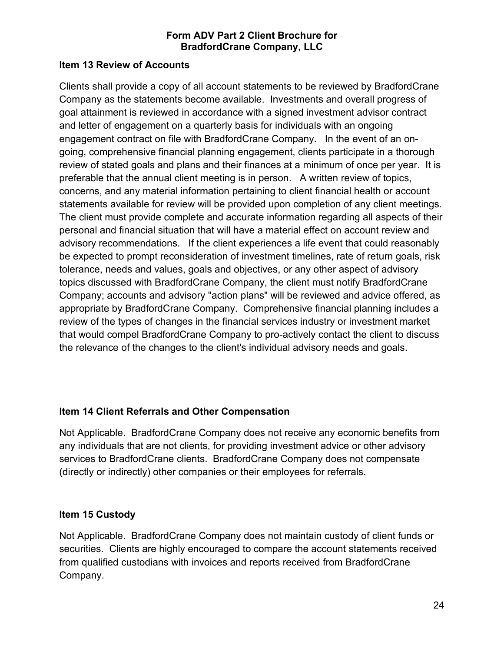#### **Item 13 Review of Accounts**

Clients shall provide a copy of all account statements to be reviewed by BradfordCrane Company as the statements become available. Investments and overall progress of goal attainment is reviewed in accordance with a signed investment advisor contract and letter of engagement on a quarterly basis for individuals with an ongoing engagement contract on file with BradfordCrane Company. In the event of an ongoing, comprehensive financial planning engagement, clients participate in a thorough review of stated goals and plans and their finances at a minimum of once per year. It is preferable that the annual client meeting is in person. A written review of topics, concerns, and any material information pertaining to client financial health or account statements available for review will be provided upon completion of any client meetings. The client must provide complete and accurate information regarding all aspects of their personal and financial situation that will have a material effect on account review and advisory recommendations. If the client experiences a life event that could reasonably be expected to prompt reconsideration of investment timelines, rate of return goals, risk tolerance, needs and values, goals and objectives, or any other aspect of advisory topics discussed with BradfordCrane Company, the client must notify BradfordCrane Company; accounts and advisory "action plans" will be reviewed and advice offered, as appropriate by BradfordCrane Company. Comprehensive financial planning includes a review of the types of changes in the financial services industry or investment market that would compel BradfordCrane Company to pro-actively contact the client to discuss the relevance of the changes to the client's individual advisory needs and goals.

## **Item 14 Client Referrals and Other Compensation**

Not Applicable. BradfordCrane Company does not receive any economic benefits from any individuals that are not clients, for providing investment advice or other advisory services to BradfordCrane clients. BradfordCrane Company does not compensate (directly or indirectly) other companies or their employees for referrals.

## **Item 15 Custody**

Not Applicable. BradfordCrane Company does not maintain custody of client funds or securities. Clients are highly encouraged to compare the account statements received from qualified custodians with invoices and reports received from BradfordCrane Company.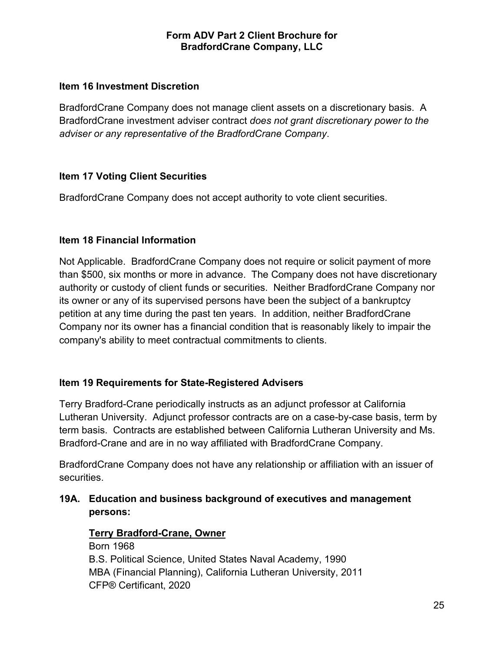#### **Item 16 Investment Discretion**

BradfordCrane Company does not manage client assets on a discretionary basis. A BradfordCrane investment adviser contract *does not grant discretionary power to the adviser or any representative of the BradfordCrane Company*.

## **Item 17 Voting Client Securities**

BradfordCrane Company does not accept authority to vote client securities.

## **Item 18 Financial Information**

Not Applicable. BradfordCrane Company does not require or solicit payment of more than \$500, six months or more in advance. The Company does not have discretionary authority or custody of client funds or securities. Neither BradfordCrane Company nor its owner or any of its supervised persons have been the subject of a bankruptcy petition at any time during the past ten years. In addition, neither BradfordCrane Company nor its owner has a financial condition that is reasonably likely to impair the company's ability to meet contractual commitments to clients.

## **Item 19 Requirements for State-Registered Advisers**

Terry Bradford-Crane periodically instructs as an adjunct professor at California Lutheran University. Adjunct professor contracts are on a case-by-case basis, term by term basis. Contracts are established between California Lutheran University and Ms. Bradford-Crane and are in no way affiliated with BradfordCrane Company.

BradfordCrane Company does not have any relationship or affiliation with an issuer of securities.

**19A. Education and business background of executives and management persons:** 

#### **Terry Bradford-Crane, Owner**

Born 1968 B.S. Political Science, United States Naval Academy, 1990 MBA (Financial Planning), California Lutheran University, 2011 CFP® Certificant, 2020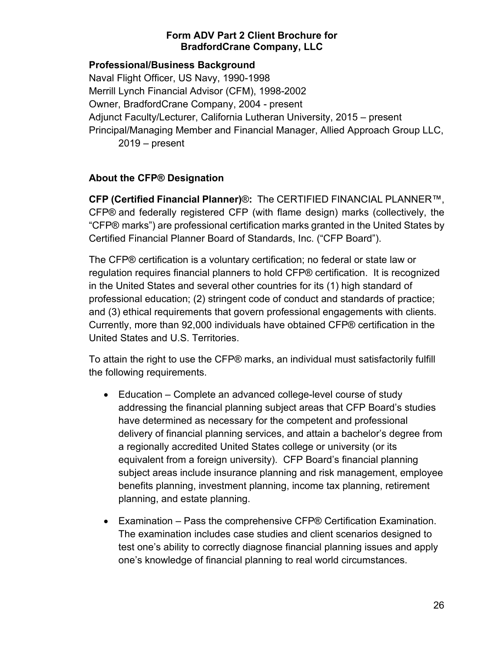## **Professional/Business Background**

Naval Flight Officer, US Navy, 1990-1998 Merrill Lynch Financial Advisor (CFM), 1998-2002 Owner, BradfordCrane Company, 2004 - present Adjunct Faculty/Lecturer, California Lutheran University, 2015 – present Principal/Managing Member and Financial Manager, Allied Approach Group LLC, 2019 – present

## **About the CFP® Designation**

**CFP (Certified Financial Planner)**®**:** The CERTIFIED FINANCIAL PLANNER™, CFP® and federally registered CFP (with flame design) marks (collectively, the "CFP® marks") are professional certification marks granted in the United States by Certified Financial Planner Board of Standards, Inc. ("CFP Board").

The CFP® certification is a voluntary certification; no federal or state law or regulation requires financial planners to hold CFP® certification. It is recognized in the United States and several other countries for its (1) high standard of professional education; (2) stringent code of conduct and standards of practice; and (3) ethical requirements that govern professional engagements with clients. Currently, more than 92,000 individuals have obtained CFP® certification in the United States and U.S. Territories.

To attain the right to use the CFP® marks, an individual must satisfactorily fulfill the following requirements.

- Education Complete an advanced college-level course of study addressing the financial planning subject areas that CFP Board's studies have determined as necessary for the competent and professional delivery of financial planning services, and attain a bachelor's degree from a regionally accredited United States college or university (or its equivalent from a foreign university). CFP Board's financial planning subject areas include insurance planning and risk management, employee benefits planning, investment planning, income tax planning, retirement planning, and estate planning.
- Examination Pass the comprehensive CFP® Certification Examination. The examination includes case studies and client scenarios designed to test one's ability to correctly diagnose financial planning issues and apply one's knowledge of financial planning to real world circumstances.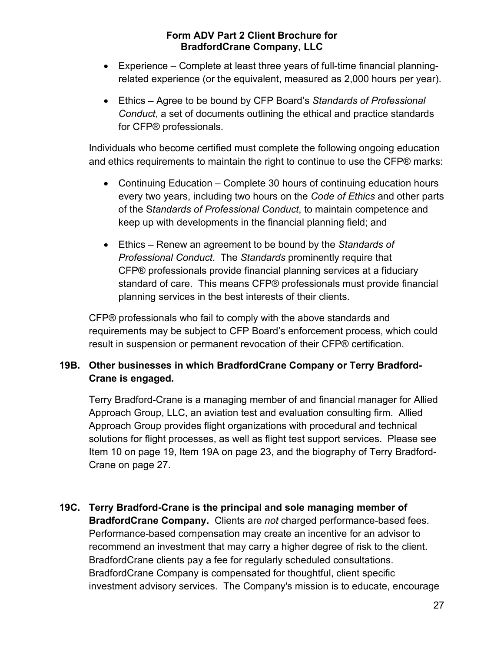- Experience Complete at least three years of full-time financial planningrelated experience (or the equivalent, measured as 2,000 hours per year).
- Ethics Agree to be bound by CFP Board's *Standards of Professional Conduct*, a set of documents outlining the ethical and practice standards for CFP® professionals.

Individuals who become certified must complete the following ongoing education and ethics requirements to maintain the right to continue to use the CFP® marks:

- Continuing Education Complete 30 hours of continuing education hours every two years, including two hours on the *Code of Ethics* and other parts of the S*tandards of Professional Conduct*, to maintain competence and keep up with developments in the financial planning field; and
- Ethics Renew an agreement to be bound by the *Standards of Professional Conduct*. The *Standards* prominently require that CFP® professionals provide financial planning services at a fiduciary standard of care. This means CFP® professionals must provide financial planning services in the best interests of their clients.

CFP® professionals who fail to comply with the above standards and requirements may be subject to CFP Board's enforcement process, which could result in suspension or permanent revocation of their CFP® certification.

## **19B. Other businesses in which BradfordCrane Company or Terry Bradford-Crane is engaged.**

Terry Bradford-Crane is a managing member of and financial manager for Allied Approach Group, LLC, an aviation test and evaluation consulting firm. Allied Approach Group provides flight organizations with procedural and technical solutions for flight processes, as well as flight test support services. Please see Item 10 on page 19, Item 19A on page 23, and the biography of Terry Bradford-Crane on page 27.

**19C. Terry Bradford-Crane is the principal and sole managing member of BradfordCrane Company.** Clients are *not* charged performance-based fees. Performance-based compensation may create an incentive for an advisor to recommend an investment that may carry a higher degree of risk to the client. BradfordCrane clients pay a fee for regularly scheduled consultations. BradfordCrane Company is compensated for thoughtful, client specific investment advisory services. The Company's mission is to educate, encourage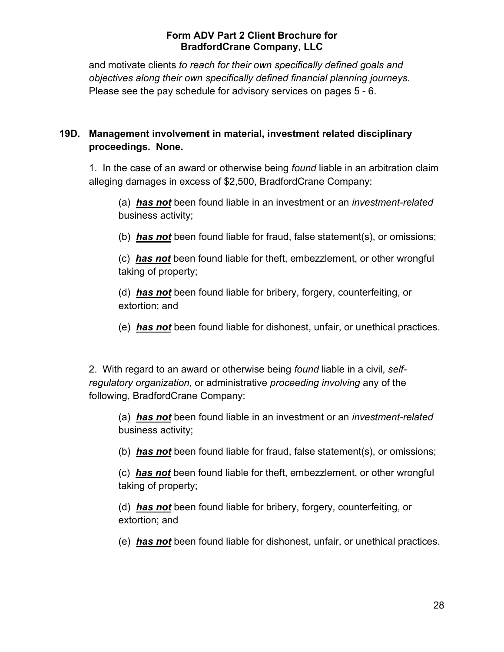and motivate clients *to reach for their own specifically defined goals and objectives along their own specifically defined financial planning journeys.* Please see the pay schedule for advisory services on pages 5 - 6.

## **19D. Management involvement in material, investment related disciplinary proceedings. None.**

1. In the case of an award or otherwise being *found* liable in an arbitration claim alleging damages in excess of \$2,500, BradfordCrane Company:

(a) *has not* been found liable in an investment or an *investment-related* business activity;

(b) *has not* been found liable for fraud, false statement(s), or omissions;

(c) *has not* been found liable for theft, embezzlement, or other wrongful taking of property;

(d) *has not* been found liable for bribery, forgery, counterfeiting, or extortion; and

(e) *has not* been found liable for dishonest, unfair, or unethical practices.

2. With regard to an award or otherwise being *found* liable in a civil, *selfregulatory organization*, or administrative *proceeding involving* any of the following, BradfordCrane Company:

(a) *has not* been found liable in an investment or an *investment-related* business activity;

(b) *has not* been found liable for fraud, false statement(s), or omissions;

(c) *has not* been found liable for theft, embezzlement, or other wrongful taking of property;

(d) *has not* been found liable for bribery, forgery, counterfeiting, or extortion; and

(e) *has not* been found liable for dishonest, unfair, or unethical practices.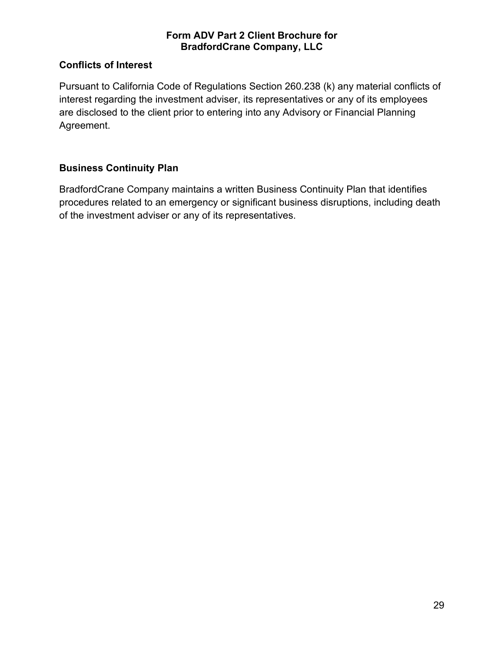## **Conflicts of Interest**

Pursuant to California Code of Regulations Section 260.238 (k) any material conflicts of interest regarding the investment adviser, its representatives or any of its employees are disclosed to the client prior to entering into any Advisory or Financial Planning Agreement.

## **Business Continuity Plan**

BradfordCrane Company maintains a written Business Continuity Plan that identifies procedures related to an emergency or significant business disruptions, including death of the investment adviser or any of its representatives.